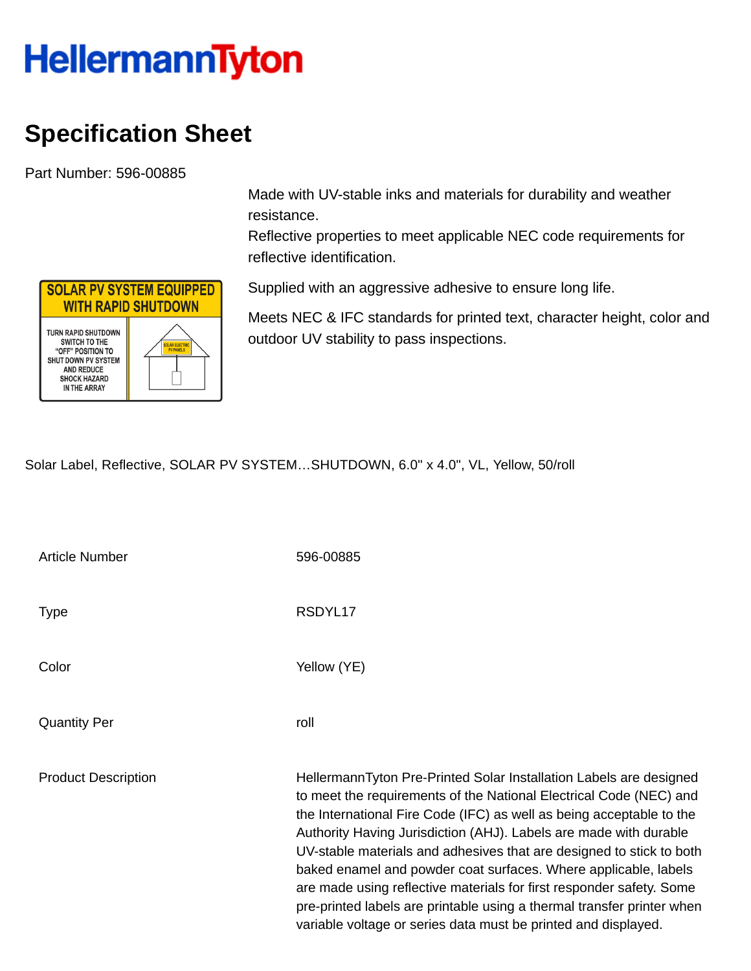## **HellermannTyton**

## **Specification Sheet**

Part Number: 596-00885

**SOLAR PV SYSTEM EQUIPPED WITH RAPID SHUTDOWN** TURN RAPID SHUTDOWN SWITCH TO THE "OFF" POSITION TO SHUT DOWN PV SYSTEM **AND REDUCE SHOCK HAZARD** IN THE ARRAY

Made with UV-stable inks and materials for durability and weather resistance.

Reflective properties to meet applicable NEC code requirements for reflective identification.

Supplied with an aggressive adhesive to ensure long life.

Meets NEC & IFC standards for printed text, character height, color and outdoor UV stability to pass inspections.

Solar Label, Reflective, SOLAR PV SYSTEM…SHUTDOWN, 6.0" x 4.0", VL, Yellow, 50/roll

| <b>Article Number</b>      | 596-00885                                                                                                                                                                                                                                                                                                                                                                                                                                                                                                                                                                                                                                            |
|----------------------------|------------------------------------------------------------------------------------------------------------------------------------------------------------------------------------------------------------------------------------------------------------------------------------------------------------------------------------------------------------------------------------------------------------------------------------------------------------------------------------------------------------------------------------------------------------------------------------------------------------------------------------------------------|
| Type                       | RSDYL17                                                                                                                                                                                                                                                                                                                                                                                                                                                                                                                                                                                                                                              |
| Color                      | Yellow (YE)                                                                                                                                                                                                                                                                                                                                                                                                                                                                                                                                                                                                                                          |
| <b>Quantity Per</b>        | roll                                                                                                                                                                                                                                                                                                                                                                                                                                                                                                                                                                                                                                                 |
| <b>Product Description</b> | HellermannTyton Pre-Printed Solar Installation Labels are designed<br>to meet the requirements of the National Electrical Code (NEC) and<br>the International Fire Code (IFC) as well as being acceptable to the<br>Authority Having Jurisdiction (AHJ). Labels are made with durable<br>UV-stable materials and adhesives that are designed to stick to both<br>baked enamel and powder coat surfaces. Where applicable, labels<br>are made using reflective materials for first responder safety. Some<br>pre-printed labels are printable using a thermal transfer printer when<br>variable voltage or series data must be printed and displayed. |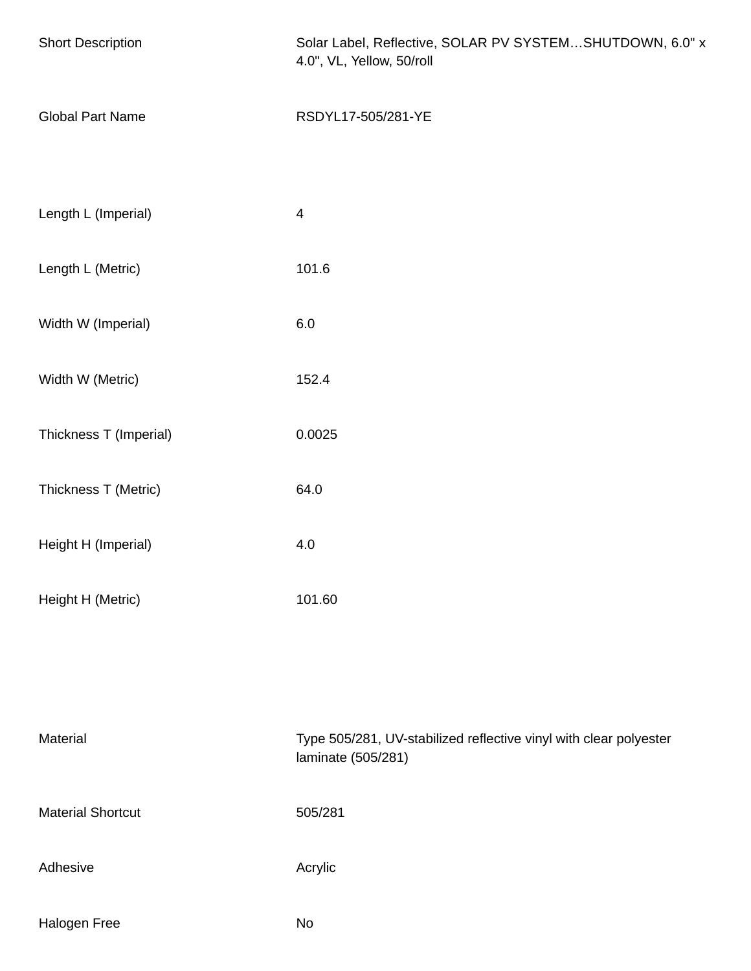| <b>Short Description</b> | Solar Label, Reflective, SOLAR PV SYSTEMSHUTDOWN, 6.0" x<br>4.0", VL, Yellow, 50/roll   |  |
|--------------------------|-----------------------------------------------------------------------------------------|--|
| <b>Global Part Name</b>  | RSDYL17-505/281-YE                                                                      |  |
| Length L (Imperial)      | $\overline{4}$                                                                          |  |
| Length L (Metric)        | 101.6                                                                                   |  |
| Width W (Imperial)       | 6.0                                                                                     |  |
| Width W (Metric)         | 152.4                                                                                   |  |
| Thickness T (Imperial)   | 0.0025                                                                                  |  |
| Thickness T (Metric)     | 64.0                                                                                    |  |
| Height H (Imperial)      | 4.0                                                                                     |  |
| Height H (Metric)        | 101.60                                                                                  |  |
|                          |                                                                                         |  |
| Material                 | Type 505/281, UV-stabilized reflective vinyl with clear polyester<br>laminate (505/281) |  |
| <b>Material Shortcut</b> | 505/281                                                                                 |  |
| Adhesive                 | Acrylic                                                                                 |  |
| Halogen Free             | No                                                                                      |  |